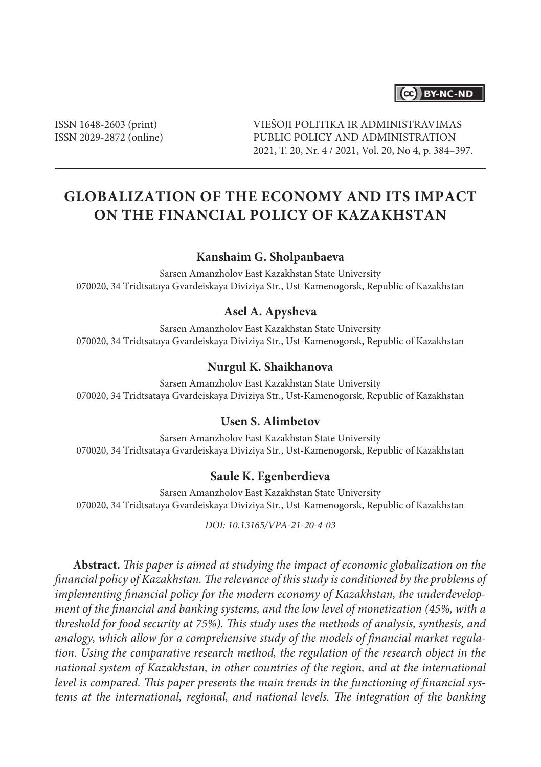# (cc) BY-NC-ND

ISSN 1648-2603 (print) ISSN 2029-2872 (online) VIEŠOJI POLITIKA IR ADMINISTRAVIMAS PUBLIC POLICY AND ADMINISTRATION 2021, T. 20, Nr. 4 / 2021, Vol. 20, No 4, p. 384–397.

# **Globalization of the Economy and its Impact on the Financial Policy of Kazakhstan**

## **Kanshaim G. Sholpanbaeva**

Sarsen Amanzholov East Kazakhstan State University 070020, 34 Tridtsataya Gvardeiskaya Diviziya Str., Ust-Kamenogorsk, Republic of Kazakhstan

## **Asel A. Apysheva**

Sarsen Amanzholov East Kazakhstan State University 070020, 34 Tridtsataya Gvardeiskaya Diviziya Str., Ust-Kamenogorsk, Republic of Kazakhstan

### **Nurgul K. Shaikhanova**

Sarsen Amanzholov East Kazakhstan State University 070020, 34 Tridtsataya Gvardeiskaya Diviziya Str., Ust-Kamenogorsk, Republic of Kazakhstan

### **Usen S. Alimbetov**

Sarsen Amanzholov East Kazakhstan State University 070020, 34 Tridtsataya Gvardeiskaya Diviziya Str., Ust-Kamenogorsk, Republic of Kazakhstan

#### **Saule K. Egenberdieva**

Sarsen Amanzholov East Kazakhstan State University 070020, 34 Tridtsataya Gvardeiskaya Diviziya Str., Ust-Kamenogorsk, Republic of Kazakhstan

*DOI: 10.13165/VPA-21-20-4-03*

**Abstract.** *This paper is aimed at studying the impact of economic globalization on the financial policy of Kazakhstan. The relevance of this study is conditioned by the problems of implementing financial policy for the modern economy of Kazakhstan, the underdevelopment of the financial and banking systems, and the low level of monetization (45%, with a threshold for food security at 75%). This study uses the methods of analysis, synthesis, and analogy, which allow for a comprehensive study of the models of financial market regulation. Using the comparative research method, the regulation of the research object in the national system of Kazakhstan, in other countries of the region, and at the international level is compared. This paper presents the main trends in the functioning of financial systems at the international, regional, and national levels. The integration of the banking*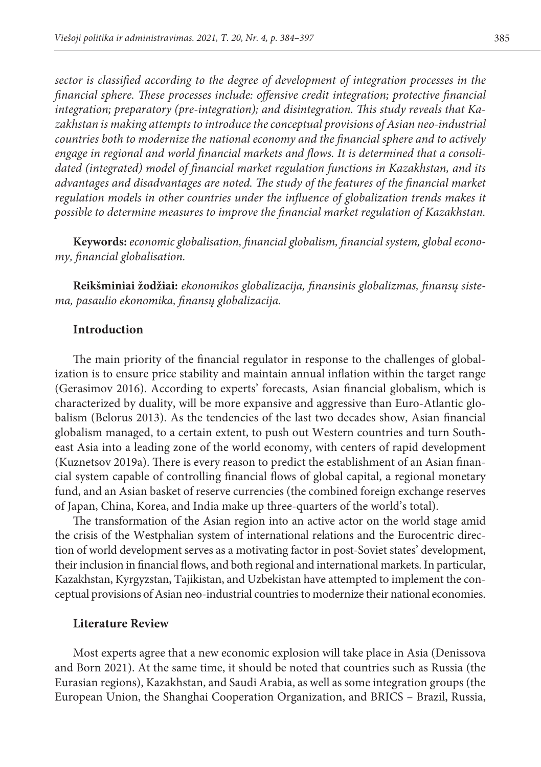*sector is classified according to the degree of development of integration processes in the financial sphere. These processes include: offensive credit integration; protective financial integration; preparatory (pre-integration); and disintegration. This study reveals that Kazakhstan is making attempts to introduce the conceptual provisions of Asian neo-industrial countries both to modernize the national economy and the financial sphere and to actively engage in regional and world financial markets and flows. It is determined that a consolidated (integrated) model of financial market regulation functions in Kazakhstan, and its advantages and disadvantages are noted. The study of the features of the financial market regulation models in other countries under the influence of globalization trends makes it possible to determine measures to improve the financial market regulation of Kazakhstan.*

**Keywords:** *economic globalisation, financial globalism, financial system, global economy, financial globalisation.*

**Reikšminiai žodžiai:** *ekonomikos globalizacija, finansinis globalizmas, finansų sistema, pasaulio ekonomika, finansų globalizacija.*

## **Introduction**

The main priority of the financial regulator in response to the challenges of globalization is to ensure price stability and maintain annual inflation within the target range (Gerasimov 2016). According to experts' forecasts, Asian financial globalism, which is characterized by duality, will be more expansive and aggressive than Euro-Atlantic globalism (Belorus 2013). As the tendencies of the last two decades show, Asian financial globalism managed, to a certain extent, to push out Western countries and turn Southeast Asia into a leading zone of the world economy, with centers of rapid development (Kuznetsov 2019a). There is every reason to predict the establishment of an Asian financial system capable of controlling financial flows of global capital, a regional monetary fund, and an Asian basket of reserve currencies (the combined foreign exchange reserves of Japan, China, Korea, and India make up three-quarters of the world's total).

The transformation of the Asian region into an active actor on the world stage amid the crisis of the Westphalian system of international relations and the Eurocentric direction of world development serves as a motivating factor in post-Soviet states' development, their inclusion in financial flows, and both regional and international markets. In particular, Kazakhstan, Kyrgyzstan, Tajikistan, and Uzbekistan have attempted to implement the conceptual provisions of Asian neo-industrial countries to modernize their national economies.

#### **Literature Review**

Most experts agree that a new economic explosion will take place in Asia (Denissova and Born 2021). At the same time, it should be noted that countries such as Russia (the Eurasian regions), Kazakhstan, and Saudi Arabia, as well as some integration groups (the European Union, the Shanghai Cooperation Organization, and BRICS – Brazil, Russia,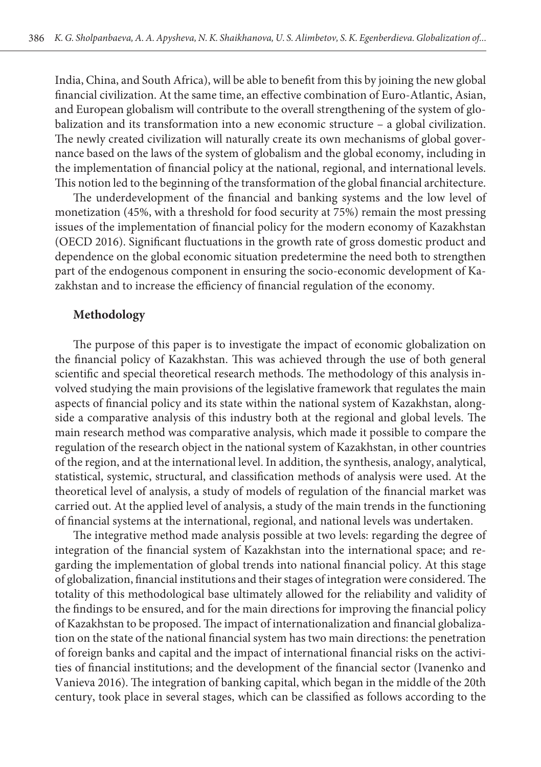India, China, and South Africa), will be able to benefit from this by joining the new global financial civilization. At the same time, an effective combination of Euro-Atlantic, Asian, and European globalism will contribute to the overall strengthening of the system of globalization and its transformation into a new economic structure – a global civilization. The newly created civilization will naturally create its own mechanisms of global governance based on the laws of the system of globalism and the global economy, including in the implementation of financial policy at the national, regional, and international levels. This notion led to the beginning of the transformation of the global financial architecture.

The underdevelopment of the financial and banking systems and the low level of monetization (45%, with a threshold for food security at 75%) remain the most pressing issues of the implementation of financial policy for the modern economy of Kazakhstan (OECD 2016). Significant fluctuations in the growth rate of gross domestic product and dependence on the global economic situation predetermine the need both to strengthen part of the endogenous component in ensuring the socio-economic development of Kazakhstan and to increase the efficiency of financial regulation of the economy.

## **Methodology**

The purpose of this paper is to investigate the impact of economic globalization on the financial policy of Kazakhstan. This was achieved through the use of both general scientific and special theoretical research methods. The methodology of this analysis involved studying the main provisions of the legislative framework that regulates the main aspects of financial policy and its state within the national system of Kazakhstan, alongside a comparative analysis of this industry both at the regional and global levels. The main research method was comparative analysis, which made it possible to compare the regulation of the research object in the national system of Kazakhstan, in other countries of the region, and at the international level. In addition, the synthesis, analogy, analytical, statistical, systemic, structural, and classification methods of analysis were used. At the theoretical level of analysis, a study of models of regulation of the financial market was carried out. At the applied level of analysis, a study of the main trends in the functioning of financial systems at the international, regional, and national levels was undertaken.

The integrative method made analysis possible at two levels: regarding the degree of integration of the financial system of Kazakhstan into the international space; and regarding the implementation of global trends into national financial policy. At this stage of globalization, financial institutions and their stages of integration were considered. The totality of this methodological base ultimately allowed for the reliability and validity of the findings to be ensured, and for the main directions for improving the financial policy of Kazakhstan to be proposed. The impact of internationalization and financial globalization on the state of the national financial system has two main directions: the penetration of foreign banks and capital and the impact of international financial risks on the activities of financial institutions; and the development of the financial sector (Ivanenko and Vanieva 2016). The integration of banking capital, which began in the middle of the 20th century, took place in several stages, which can be classified as follows according to the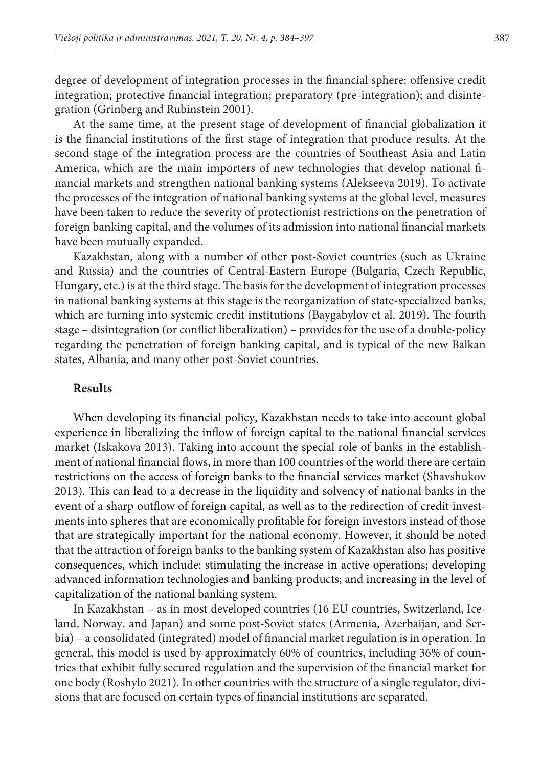degree of development of integration processes in the financial sphere: offensive credit integration; protective financial integration; preparatory (pre-integration); and disintegration (Grinberg and Rubinstein 2001).

At the same time, at the present stage of development of financial globalization it is the financial institutions of the first stage of integration that produce results. At the second stage of the integration process are the countries of Southeast Asia and Latin America, which are the main importers of new technologies that develop national financial markets and strengthen national banking systems (Alekseeva 2019). To activate the processes of the integration of national banking systems at the global level, measures have been taken to reduce the severity of protectionist restrictions on the penetration of foreign banking capital, and the volumes of its admission into national financial markets have been mutually expanded.

Kazakhstan, along with a number of other post-Soviet countries (such as Ukraine and Russia) and the countries of Central-Eastern Europe (Bulgaria, Czech Republic, Hungary, etc.) is at the third stage. The basis for the development of integration processes in national banking systems at this stage is the reorganization of state-specialized banks, which are turning into systemic credit institutions (Baygabylov et al. 2019). The fourth stage – disintegration (or conflict liberalization) – provides for the use of a double-policy regarding the penetration of foreign banking capital, and is typical of the new Balkan states, Albania, and many other post-Soviet countries.

### **Results**

When developing its financial policy, Kazakhstan needs to take into account global experience in liberalizing the inflow of foreign capital to the national financial services market (Iskakova 2013). Taking into account the special role of banks in the establishment of national financial flows, in more than 100 countries of the world there are certain restrictions on the access of foreign banks to the financial services market (Shavshukov 2013). This can lead to a decrease in the liquidity and solvency of national banks in the event of a sharp outflow of foreign capital, as well as to the redirection of credit investments into spheres that are economically profitable for foreign investors instead of those that are strategically important for the national economy. However, it should be noted that the attraction of foreign banks to the banking system of Kazakhstan also has positive consequences, which include: stimulating the increase in active operations; developing advanced information technologies and banking products; and increasing in the level of capitalization of the national banking system.

In Kazakhstan – as in most developed countries (16 EU countries, Switzerland, Iceland, Norway, and Japan) and some post-Soviet states (Armenia, Azerbaijan, and Serbia) – a consolidated (integrated) model of financial market regulation is in operation. In general, this model is used by approximately 60% of countries, including 36% of countries that exhibit fully secured regulation and the supervision of the financial market for one body (Roshylo 2021). In other countries with the structure of a single regulator, divisions that are focused on certain types of financial institutions are separated.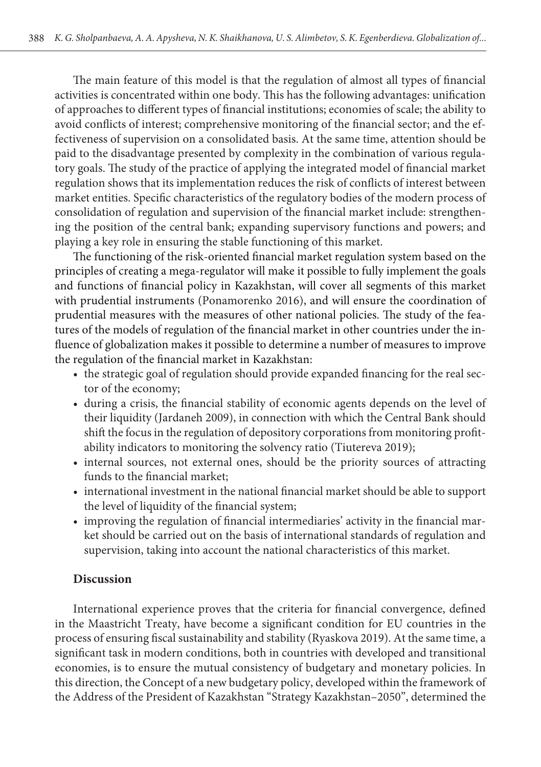The main feature of this model is that the regulation of almost all types of financial activities is concentrated within one body. This has the following advantages: unification of approaches to different types of financial institutions; economies of scale; the ability to avoid conflicts of interest; comprehensive monitoring of the financial sector; and the effectiveness of supervision on a consolidated basis. At the same time, attention should be paid to the disadvantage presented by complexity in the combination of various regulatory goals. The study of the practice of applying the integrated model of financial market regulation shows that its implementation reduces the risk of conflicts of interest between market entities. Specific characteristics of the regulatory bodies of the modern process of consolidation of regulation and supervision of the financial market include: strengthening the position of the central bank; expanding supervisory functions and powers; and playing a key role in ensuring the stable functioning of this market.

The functioning of the risk-oriented financial market regulation system based on the principles of creating a mega-regulator will make it possible to fully implement the goals and functions of financial policy in Kazakhstan, will cover all segments of this market with prudential instruments (Ponamorenko 2016), and will ensure the coordination of prudential measures with the measures of other national policies. The study of the features of the models of regulation of the financial market in other countries under the influence of globalization makes it possible to determine a number of measures to improve the regulation of the financial market in Kazakhstan:

- the strategic goal of regulation should provide expanded financing for the real sector of the economy;
- during a crisis, the financial stability of economic agents depends on the level of their liquidity (Jardaneh 2009), in connection with which the Central Bank should shift the focus in the regulation of depository corporations from monitoring profitability indicators to monitoring the solvency ratio (Tiutereva 2019);
- internal sources, not external ones, should be the priority sources of attracting funds to the financial market;
- international investment in the national financial market should be able to support the level of liquidity of the financial system;
- improving the regulation of financial intermediaries' activity in the financial market should be carried out on the basis of international standards of regulation and supervision, taking into account the national characteristics of this market.

# **Discussion**

International experience proves that the criteria for financial convergence, defined in the Maastricht Treaty, have become a significant condition for EU countries in the process of ensuring fiscal sustainability and stability (Ryaskova 2019). At the same time, a significant task in modern conditions, both in countries with developed and transitional economies, is to ensure the mutual consistency of budgetary and monetary policies. In this direction, the Concept of a new budgetary policy, developed within the framework of the Address of the President of Kazakhstan "Strategy Kazakhstan–2050", determined the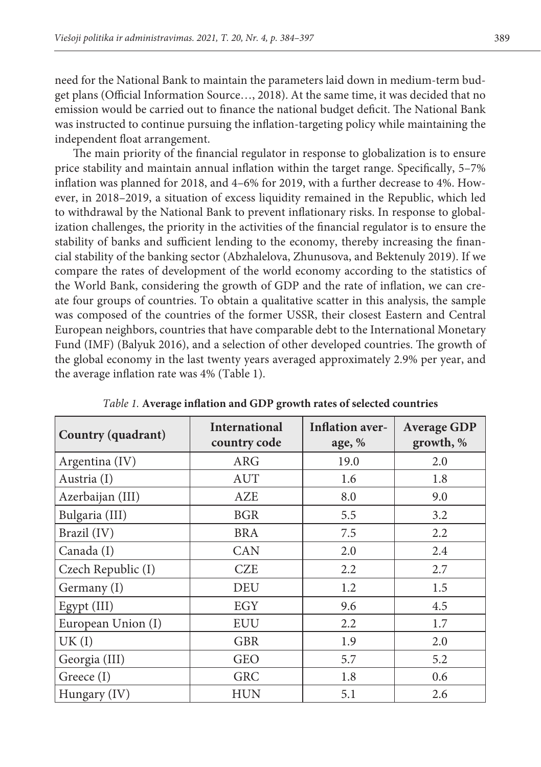need for the National Bank to maintain the parameters laid down in medium-term budget plans (Official Information Source…, 2018). At the same time, it was decided that no emission would be carried out to finance the national budget deficit. The National Bank was instructed to continue pursuing the inflation-targeting policy while maintaining the independent float arrangement.

The main priority of the financial regulator in response to globalization is to ensure price stability and maintain annual inflation within the target range. Specifically, 5–7% inflation was planned for 2018, and 4–6% for 2019, with a further decrease to 4%. However, in 2018–2019, a situation of excess liquidity remained in the Republic, which led to withdrawal by the National Bank to prevent inflationary risks. In response to globalization challenges, the priority in the activities of the financial regulator is to ensure the stability of banks and sufficient lending to the economy, thereby increasing the financial stability of the banking sector (Abzhalelova, Zhunusova, and Bektenuly 2019). If we compare the rates of development of the world economy according to the statistics of the World Bank, considering the growth of GDP and the rate of inflation, we can create four groups of countries. To obtain a qualitative scatter in this analysis, the sample was composed of the countries of the former USSR, their closest Eastern and Central European neighbors, countries that have comparable debt to the International Monetary Fund (IMF) (Balyuk 2016), and a selection of other developed countries. The growth of the global economy in the last twenty years averaged approximately 2.9% per year, and the average inflation rate was 4% (Table 1).

| Country (quadrant) | <b>International</b><br>country code | <b>Inflation aver-</b><br>age, $%$ | <b>Average GDP</b><br>growth, % |  |
|--------------------|--------------------------------------|------------------------------------|---------------------------------|--|
| Argentina (IV)     | ARG                                  | 19.0                               | 2.0                             |  |
| Austria (I)        | <b>AUT</b>                           | 1.6                                | 1.8                             |  |
| Azerbaijan (III)   | AZE                                  | 8.0                                | 9.0                             |  |
| Bulgaria (III)     | <b>BGR</b>                           | 5.5                                | 3.2                             |  |
| Brazil (IV)        | <b>BRA</b>                           | 7.5                                | 2.2                             |  |
| Canada (I)         | CAN                                  | 2.0                                | 2.4                             |  |
| Czech Republic (I) | <b>CZE</b>                           | 2.2                                | 2.7                             |  |
| Germany (I)        | DEU                                  | 1.2                                | 1.5                             |  |
| Egypt (III)        | EGY                                  | 9.6                                | 4.5                             |  |
| European Union (I) | EUU                                  | 2.2                                | 1.7                             |  |
| UK(I)              | <b>GBR</b>                           | 1.9                                | 2.0                             |  |
| Georgia (III)      | <b>GEO</b>                           | 5.7                                | 5.2                             |  |
| Greece (I)         | <b>GRC</b>                           | 1.8                                | 0.6                             |  |
| Hungary (IV)       | HUN                                  | 5.1                                | 2.6                             |  |

*Table 1.* **Average inflation and GDP growth rates of selected countries**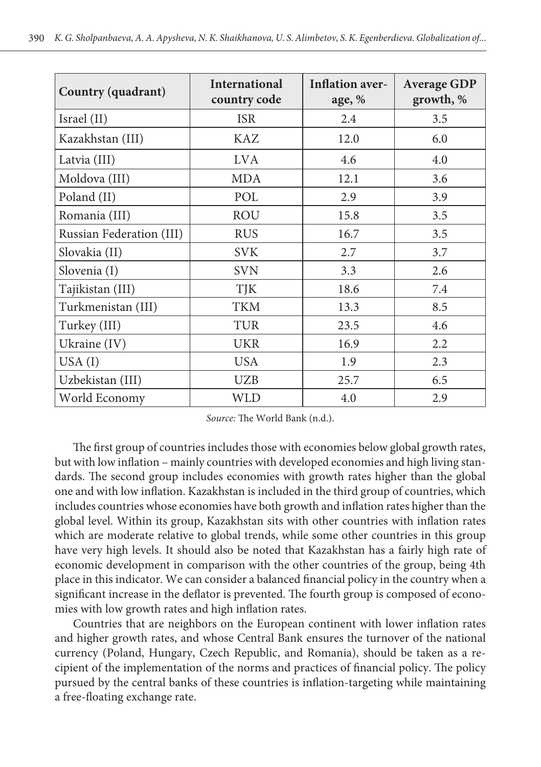| Country (quadrant)       | <b>International</b><br>country code | <b>Inflation aver-</b><br>age, % | <b>Average GDP</b><br>growth, % |  |
|--------------------------|--------------------------------------|----------------------------------|---------------------------------|--|
| Israel (II)              | <b>ISR</b>                           | 2.4                              | 3.5                             |  |
| Kazakhstan (III)         | KAZ                                  | 12.0                             | 6.0                             |  |
| Latvia (III)             | LVA                                  | 4.6                              | 4.0                             |  |
| Moldova (III)            | <b>MDA</b>                           | 12.1                             | 3.6                             |  |
| Poland (II)              | POL                                  | 2.9                              | 3.9                             |  |
| Romania (III)            | <b>ROU</b>                           | 15.8                             | 3.5                             |  |
| Russian Federation (III) | <b>RUS</b>                           | 16.7                             | 3.5                             |  |
| Slovakia (II)            | <b>SVK</b>                           | 2.7                              | 3.7                             |  |
| Slovenia (I)             | SVN                                  | 3.3                              | 2.6                             |  |
| Tajikistan (III)         | TJK                                  | 18.6                             | 7.4                             |  |
| Turkmenistan (III)       | <b>TKM</b>                           | 13.3                             | 8.5                             |  |
| Turkey (III)             | TUR                                  | 23.5                             | 4.6                             |  |
| Ukraine (IV)             | <b>UKR</b>                           | 16.9                             | 2.2                             |  |
| USA(I)                   | <b>USA</b>                           | 1.9                              | 2.3                             |  |
| Uzbekistan (III)         | <b>UZB</b>                           | 25.7                             | 6.5                             |  |
| World Economy            | WLD                                  | 4.0                              | 2.9                             |  |

*Source:* The World Bank (n.d.).

The first group of countries includes those with economies below global growth rates, but with low inflation – mainly countries with developed economies and high living standards. The second group includes economies with growth rates higher than the global one and with low inflation. Kazakhstan is included in the third group of countries, which includes countries whose economies have both growth and inflation rates higher than the global level. Within its group, Kazakhstan sits with other countries with inflation rates which are moderate relative to global trends, while some other countries in this group have very high levels. It should also be noted that Kazakhstan has a fairly high rate of economic development in comparison with the other countries of the group, being 4th place in this indicator. We can consider a balanced financial policy in the country when a significant increase in the deflator is prevented. The fourth group is composed of economies with low growth rates and high inflation rates.

Countries that are neighbors on the European continent with lower inflation rates and higher growth rates, and whose Central Bank ensures the turnover of the national currency (Poland, Hungary, Czech Republic, and Romania), should be taken as a recipient of the implementation of the norms and practices of financial policy. The policy pursued by the central banks of these countries is inflation-targeting while maintaining a free-floating exchange rate.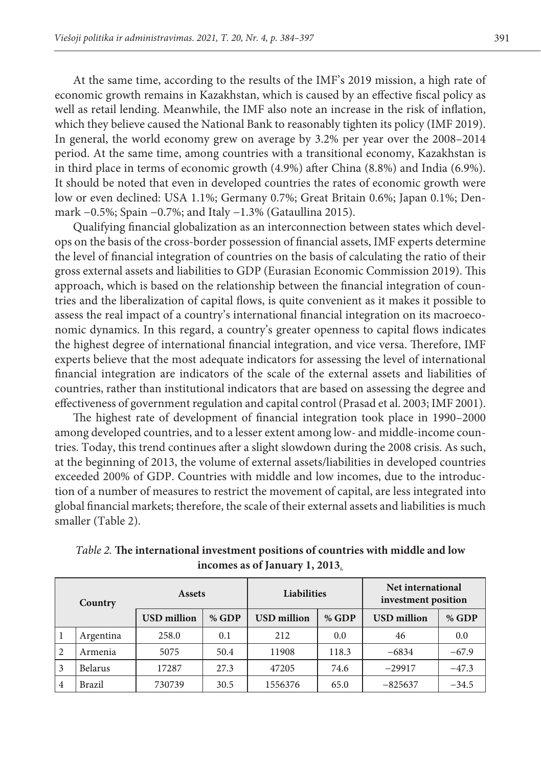At the same time, according to the results of the IMF's 2019 mission, a high rate of economic growth remains in Kazakhstan, which is caused by an effective fiscal policy as well as retail lending. Meanwhile, the IMF also note an increase in the risk of inflation, which they believe caused the National Bank to reasonably tighten its policy (IMF 2019). In general, the world economy grew on average by 3.2% per year over the 2008–2014 period. At the same time, among countries with a transitional economy, Kazakhstan is in third place in terms of economic growth (4.9%) after China (8.8%) and India (6.9%). It should be noted that even in developed countries the rates of economic growth were low or even declined: USA 1.1%; Germany 0.7%; Great Britain 0.6%; Japan 0.1%; Denmark −0.5%; Spain −0.7%; and Italy −1.3% (Gataullina 2015).

Qualifying financial globalization as an interconnection between states which develops on the basis of the cross-border possession of financial assets, IMF experts determine the level of financial integration of countries on the basis of calculating the ratio of their gross external assets and liabilities to GDP (Eurasian Economic Commission 2019). This approach, which is based on the relationship between the financial integration of countries and the liberalization of capital flows, is quite convenient as it makes it possible to assess the real impact of a country's international financial integration on its macroeconomic dynamics. In this regard, a country's greater openness to capital flows indicates the highest degree of international financial integration, and vice versa. Therefore, IMF experts believe that the most adequate indicators for assessing the level of international financial integration are indicators of the scale of the external assets and liabilities of countries, rather than institutional indicators that are based on assessing the degree and effectiveness of government regulation and capital control (Prasad et al. 2003; IMF 2001).

The highest rate of development of financial integration took place in 1990–2000 among developed countries, and to a lesser extent among low- and middle-income countries. Today, this trend continues after a slight slowdown during the 2008 crisis. As such, at the beginning of 2013, the volume of external assets/liabilities in developed countries exceeded 200% of GDP. Countries with middle and low incomes, due to the introduction of a number of measures to restrict the movement of capital, are less integrated into global financial markets; therefore, the scale of their external assets and liabilities is much smaller (Table 2).

| Country        |                | Assets             |       | <b>Liabilities</b> |       | Net international<br>investment position |         |
|----------------|----------------|--------------------|-------|--------------------|-------|------------------------------------------|---------|
|                |                | <b>USD</b> million | % GDP | <b>USD</b> million | % GDP | <b>USD</b> million                       | % GDP   |
| 1              | Argentina      | 258.0              | 0.1   | 212                | 0.0   | 46                                       | 0.0     |
| $\overline{2}$ | Armenia        | 5075               | 50.4  | 11908              | 118.3 | $-6834$                                  | $-67.9$ |
| <sup>3</sup>   | <b>Belarus</b> | 17287              | 27.3  | 47205              | 74.6  | $-29917$                                 | $-47.3$ |
| $\vert$ 4      | <b>Brazil</b>  | 730739             | 30.5  | 1556376            | 65.0  | $-825637$                                | $-34.5$ |

*Table 2.* **The international investment positions of countries with middle and low incomes as of January 1, 2013***.*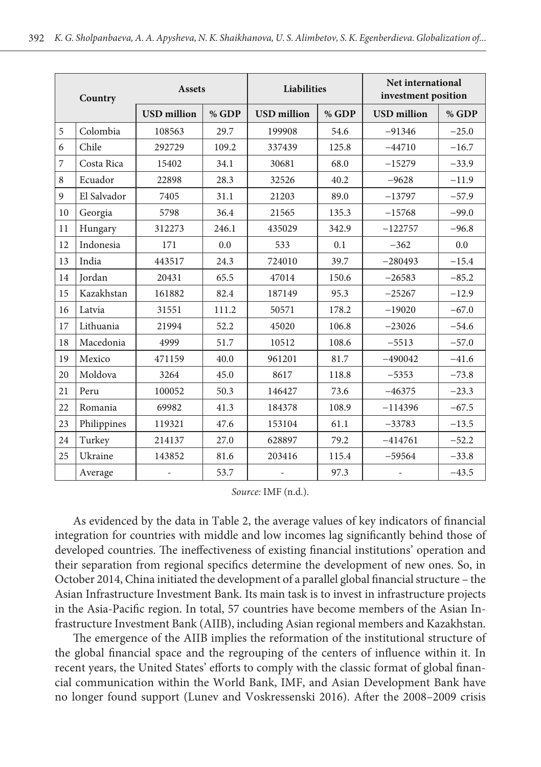| Country |               | Assets             |       | Liabilities        |       | Net international<br>investment position |         |
|---------|---------------|--------------------|-------|--------------------|-------|------------------------------------------|---------|
|         |               | <b>USD</b> million | % GDP | <b>USD</b> million | % GDP | <b>USD</b> million                       | % GDP   |
| 5       | Colombia      | 108563             | 29.7  | 199908             | 54.6  | $-91346$                                 | $-25.0$ |
| 6       | Chile         | 292729             | 109.2 | 337439             | 125.8 | $-44710$                                 | $-16.7$ |
| 7       | Costa Rica    | 15402              | 34.1  | 30681              | 68.0  | $-15279$                                 | $-33.9$ |
| 8       | Ecuador       | 22898              | 28.3  | 32526              | 40.2  | $-9628$                                  | $-11.9$ |
| 9       | El Salvador   | 7405               | 31.1  | 21203              | 89.0  | $-13797$                                 | $-57.9$ |
| 10      | Georgia       | 5798               | 36.4  | 21565              | 135.3 | $-15768$                                 | $-99.0$ |
| 11      | Hungary       | 312273             | 246.1 | 435029             | 342.9 | $-122757$                                | $-96.8$ |
| 12      | Indonesia     | 171                | 0.0   | 533                | 0.1   | $-362$                                   | 0.0     |
| 13      | India         | 443517             | 24.3  | 724010             | 39.7  | $-280493$                                | $-15.4$ |
| 14      | <b>Jordan</b> | 20431              | 65.5  | 47014              | 150.6 | $-26583$                                 | $-85.2$ |
| 15      | Kazakhstan    | 161882             | 82.4  | 187149             | 95.3  | $-25267$                                 | $-12.9$ |
| 16      | Latvia        | 31551              | 111.2 | 50571              | 178.2 | $-19020$                                 | $-67.0$ |
| 17      | Lithuania     | 21994              | 52.2  | 45020              | 106.8 | $-23026$                                 | $-54.6$ |
| 18      | Macedonia     | 4999               | 51.7  | 10512              | 108.6 | $-5513$                                  | $-57.0$ |
| 19      | Mexico        | 471159             | 40.0  | 961201             | 81.7  | $-490042$                                | $-41.6$ |
| 20      | Moldova       | 3264               | 45.0  | 8617               | 118.8 | $-5353$                                  | $-73.8$ |
| 21      | Peru          | 100052             | 50.3  | 146427             | 73.6  | $-46375$                                 | $-23.3$ |
| 22      | Romania       | 69982              | 41.3  | 184378             | 108.9 | $-114396$                                | $-67.5$ |
| 23      | Philippines   | 119321             | 47.6  | 153104             | 61.1  | $-33783$                                 | $-13.5$ |
| 24      | Turkey        | 214137             | 27.0  | 628897             | 79.2  | $-414761$                                | $-52.2$ |
| 25      | Ukraine       | 143852             | 81.6  | 203416             | 115.4 | $-59564$                                 | $-33.8$ |
|         | Average       | $\overline{a}$     | 53.7  | $\overline{a}$     | 97.3  | $\overline{a}$                           | $-43.5$ |

*Source:* IMF (n.d.).

As evidenced by the data in Table 2, the average values of key indicators of financial integration for countries with middle and low incomes lag significantly behind those of developed countries. The ineffectiveness of existing financial institutions' operation and their separation from regional specifics determine the development of new ones. So, in October 2014, China initiated the development of a parallel global financial structure – the Asian Infrastructure Investment Bank. Its main task is to invest in infrastructure projects in the Asia-Pacific region. In total, 57 countries have become members of the Asian Infrastructure Investment Bank (AIIB), including Asian regional members and Kazakhstan.

The emergence of the AIIB implies the reformation of the institutional structure of the global financial space and the regrouping of the centers of influence within it. In recent years, the United States' efforts to comply with the classic format of global financial communication within the World Bank, IMF, and Asian Development Bank have no longer found support (Lunev and Voskressenski 2016). After the 2008–2009 crisis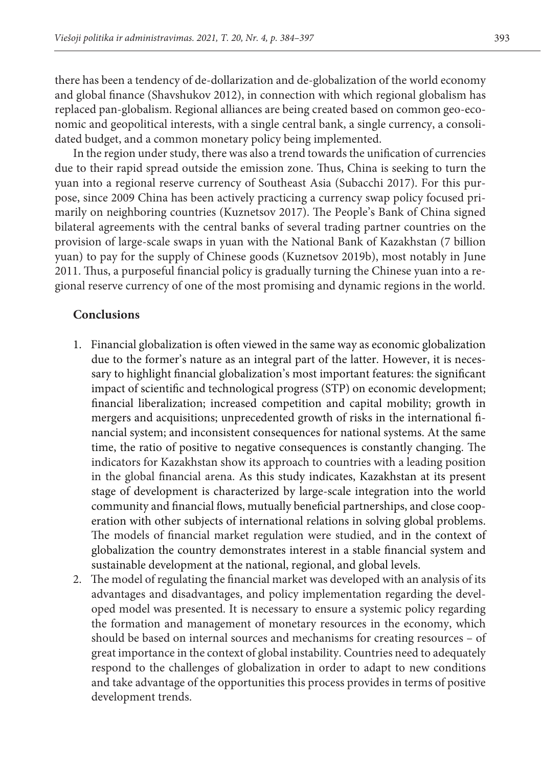there has been a tendency of de-dollarization and de-globalization of the world economy and global finance (Shavshukov 2012), in connection with which regional globalism has replaced pan-globalism. Regional alliances are being created based on common geo-economic and geopolitical interests, with a single central bank, a single currency, a consolidated budget, and a common monetary policy being implemented.

In the region under study, there was also a trend towards the unification of currencies due to their rapid spread outside the emission zone. Thus, China is seeking to turn the yuan into a regional reserve currency of Southeast Asia (Subacchi 2017). For this purpose, since 2009 China has been actively practicing a currency swap policy focused primarily on neighboring countries (Kuznetsov 2017). The People's Bank of China signed bilateral agreements with the central banks of several trading partner countries on the provision of large-scale swaps in yuan with the National Bank of Kazakhstan (7 billion yuan) to pay for the supply of Chinese goods (Kuznetsov 2019b), most notably in June 2011. Thus, a purposeful financial policy is gradually turning the Chinese yuan into a regional reserve currency of one of the most promising and dynamic regions in the world.

# **Conclusions**

- 1. Financial globalization is often viewed in the same way as economic globalization due to the former's nature as an integral part of the latter. However, it is necessary to highlight financial globalization's most important features: the significant impact of scientific and technological progress (STP) on economic development; financial liberalization; increased competition and capital mobility; growth in mergers and acquisitions; unprecedented growth of risks in the international financial system; and inconsistent consequences for national systems. At the same time, the ratio of positive to negative consequences is constantly changing. The indicators for Kazakhstan show its approach to countries with a leading position in the global financial arena. As this study indicates, Kazakhstan at its present stage of development is characterized by large-scale integration into the world community and financial flows, mutually beneficial partnerships, and close cooperation with other subjects of international relations in solving global problems. The models of financial market regulation were studied, and in the context of globalization the country demonstrates interest in a stable financial system and sustainable development at the national, regional, and global levels.
- 2. The model of regulating the financial market was developed with an analysis of its advantages and disadvantages, and policy implementation regarding the developed model was presented. It is necessary to ensure a systemic policy regarding the formation and management of monetary resources in the economy, which should be based on internal sources and mechanisms for creating resources – of great importance in the context of global instability. Countries need to adequately respond to the challenges of globalization in order to adapt to new conditions and take advantage of the opportunities this process provides in terms of positive development trends.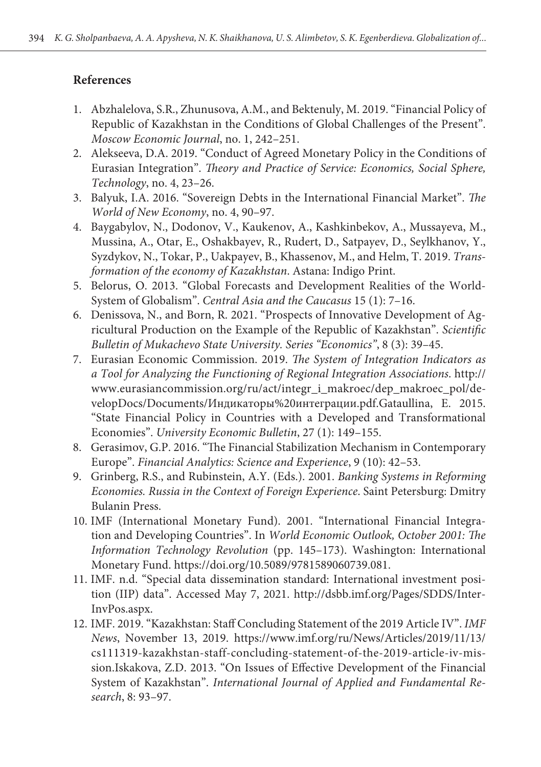# **References**

- 1. Abzhalelova, S.R., Zhunusova, A.M., and Bektenuly, M. 2019. "Financial Policy of Republic of Kazakhstan in the Conditions of Global Challenges of the Present". *Moscow Economic Journal*, no. 1, 242–251.
- 2. Alekseeva, D.A. 2019. "Conduct of Agreed Monetary Policy in the Conditions of Eurasian Integration". *Theory and Practice of Service: Economics, Social Sphere, Technology*, no. 4, 23–26.
- 3. Balyuk, I.A. 2016. "Sovereign Debts in the International Financial Market". *The World of New Economy*, no. 4, 90–97.
- 4. Baygabylov, N., Dodonov, V., Kaukenov, A., Kashkinbekov, A., Mussayeva, M., Mussina, A., Otar, E., Oshakbayev, R., Rudert, D., Satpayev, D., Seylkhanov, Y., Syzdykov, N., Tokar, P., Uakpayev, B., Khassenov, M., and Helm, T. 2019. *Transformation of the economy of Kazakhstan*. Astana: Indigo Print.
- 5. Belorus, О. 2013. "Global Forecasts and Development Realities of the World-System of Globalism". *Central Asia and the Caucasus* 15 (1): 7–16.
- 6. Denissova, N., and Born, R. 2021. "Prospects of Innovative Development of Agricultural Production on the Example of the Republic of Kazakhstan". *Scientific Bulletin of Mukachevo State University. Series "Economics"*, 8 (3): 39–45.
- 7. Eurasian Economic Commission. 2019. *The System of Integration Indicators as a Tool for Analyzing the Functioning of Regional Integration Associations*. http:// www.eurasiancommission.org/ru/act/integr\_i\_makroec/dep\_makroec\_pol/developDocs/Documents/Индикаторы%20интеграции.pdf.Gataullina, E. 2015. "State Financial Policy in Countries with a Developed and Transformational Economies". *University Economic Bulletin*, 27 (1): 149–155.
- 8. Gerasimov, G.P. 2016. "The Financial Stabilization Mechanism in Contemporary Europe". *Financial Analytics: Science and Experience*, 9 (10): 42–53.
- 9. Grinberg, R.S., and Rubinstein, A.Y. (Eds.). 2001. *Banking Systems in Reforming Economies. Russia in the Context of Foreign Experience*. Saint Petersburg: Dmitry Bulanin Press.
- 10. IMF (International Monetary Fund). 2001. "International Financial Integration and Developing Countries". In *World Economic Outlook, October 2001: The Information Technology Revolution* (pp. 145–173). Washington: International Monetary Fund. https://doi.org/10.5089/9781589060739.081.
- 11. IMF. n.d. "Special data dissemination standard: International investment position (IIP) data". Accessed May 7, 2021. http://dsbb.imf.org/Pages/SDDS/Inter-InvPos.aspx.
- 12. IMF. 2019. "Kazakhstan: Staff Concluding Statement of the 2019 Article IV". *IMF News*, November 13, 2019. https://www.imf.org/ru/News/Articles/2019/11/13/ cs111319-kazakhstan-staff-concluding-statement-of-the-2019-article-iv-mission.Iskakova, Z.D. 2013. "On Issues of Effective Development of the Financial System of Kazakhstan". *International Journal of Applied and Fundamental Research*, 8: 93–97.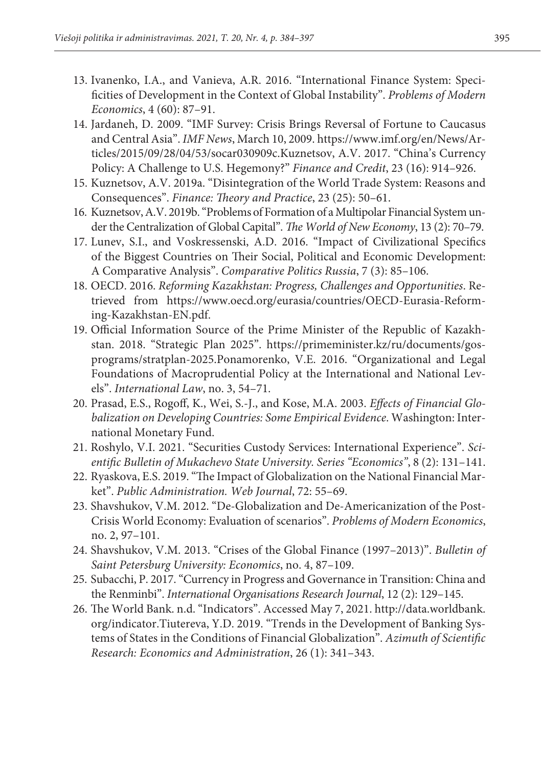- 13. Ivanenko, I.A., and Vanieva, A.R. 2016. "International Finance System: Specificities of Development in the Context of Global Instability". *Problems of Modern Economics*, 4 (60): 87–91.
- 14. Jardaneh, D. 2009. "IMF Survey: Crisis Brings Reversal of Fortune to Caucasus and Central Asia". *IMF News*, March 10, 2009. https://www.imf.org/en/News/Articles/2015/09/28/04/53/socar030909c.Kuznetsov, A.V. 2017. "China's Currency Policy: A Challenge to U.S. Hegemony?" *Finance and Credit*, 23 (16): 914–926.
- 15. Kuznetsov, A.V. 2019a. "Disintegration of the World Trade System: Reasons and Consequences". *Finance: Theory and Practice*, 23 (25): 50–61.
- 16. Kuznetsov, A.V. 2019b. "Problems of Formation of a Multipolar Financial System under the Centralization of Global Capital". *The World of New Economy*, 13 (2): 70–79.
- 17. Lunev, S.I., and Voskressenski, A.D. 2016. "Impact of Civilizational Specifics of the Biggest Countries on Their Social, Political and Economic Development: A Comparative Analysis". *Comparative Politics Russia*, 7 (3): 85–106.
- 18. OECD. 2016. *Reforming Kazakhstan: Progress, Challenges and Opportunities*. Retrieved from https://www.oecd.org/eurasia/countries/OECD-Eurasia-Reforming-Kazakhstan-EN.pdf.
- 19. Official Information Source of the Prime Minister of the Republic of Kazakhstan. 2018. "Strategic Plan 2025". https://primeminister.kz/ru/documents/gosprograms/stratplan-2025.Ponamorenko, V.E. 2016. "Organizational and Legal Foundations of Macroprudential Policy at the International and National Levels". *International Law*, no. 3, 54–71.
- 20. Prasad, E.S., Rogoff, K., Wei, S.-J., and Kose, M.A. 2003. *Effects of Financial Globalization on Developing Countries: Some Empirical Evidence*. Washington: International Monetary Fund.
- 21. Roshylo, V.I. 2021. "Securities Custody Services: International Experience". *Scientific Bulletin of Mukachevo State University. Series "Economics"*, 8 (2): 131–141.
- 22. Ryaskova, E.S. 2019. "The Impact of Globalization on the National Financial Market". *Public Administration. Web Journal*, 72: 55–69.
- 23. Shavshukov, V.M. 2012. "De-Globalization and De-Americanization of the Post-Crisis World Economy: Evaluation of scenarios". *Problems of Modern Economics*, no. 2, 97–101.
- 24. Shavshukov, V.M. 2013. "Crises of the Global Finance (1997–2013)". *Bulletin of Saint Petersburg University: Economics*, no. 4, 87–109.
- 25. Subacchi, P. 2017. "Currency in Progress and Governance in Transition: China and the Renminbi". *International Organisations Research Journal*, 12 (2): 129–145.
- 26. The World Bank. n.d. "Indicators". Accessed May 7, 2021. http://data.worldbank. org/indicator.Tiutereva, Y.D. 2019. "Trends in the Development of Banking Systems of States in the Conditions of Financial Globalization". *Azimuth of Scientific Research: Economics and Administration*, 26 (1): 341–343.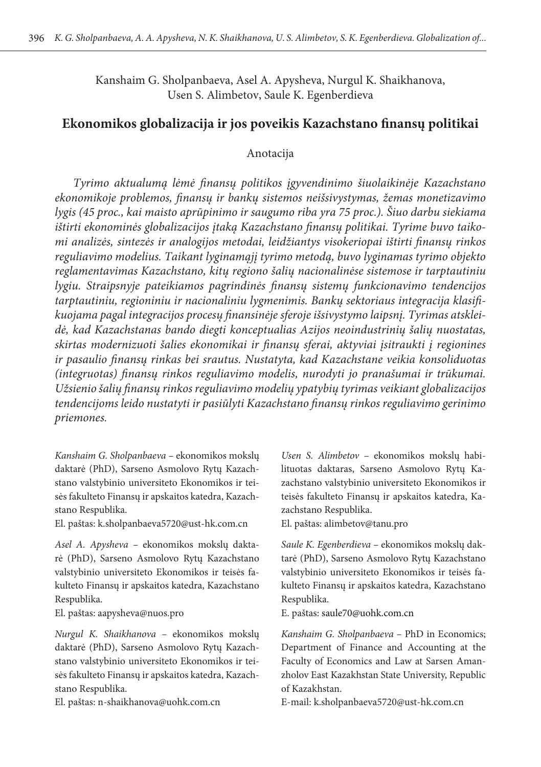Kanshaim G. Sholpanbaeva, Asel A. Apysheva, Nurgul K. Shaikhanova, Usen S. Alimbetov, Saule K. Egenberdieva

# **Ekonomikos globalizacija ir jos poveikis Kazachstano finansų politikai**

# Anotacija

*Tyrimo aktualumą lėmė finansų politikos įgyvendinimo šiuolaikinėje Kazachstano ekonomikoje problemos, finansų ir bankų sistemos neišsivystymas, žemas monetizavimo lygis (45 proc., kai maisto aprūpinimo ir saugumo riba yra 75 proc.). Šiuo darbu siekiama ištirti ekonominės globalizacijos įtaką Kazachstano finansų politikai. Tyrime buvo taikomi analizės, sintezės ir analogijos metodai, leidžiantys visokeriopai ištirti finansų rinkos reguliavimo modelius. Taikant lyginamąjį tyrimo metodą, buvo lyginamas tyrimo objekto reglamentavimas Kazachstano, kitų regiono šalių nacionalinėse sistemose ir tarptautiniu lygiu. Straipsnyje pateikiamos pagrindinės finansų sistemų funkcionavimo tendencijos tarptautiniu, regioniniu ir nacionaliniu lygmenimis. Bankų sektoriaus integracija klasifikuojama pagal integracijos procesų finansinėje sferoje išsivystymo laipsnį. Tyrimas atskleidė, kad Kazachstanas bando diegti konceptualias Azijos neoindustrinių šalių nuostatas, skirtas modernizuoti šalies ekonomikai ir finansų sferai, aktyviai įsitraukti į regionines ir pasaulio finansų rinkas bei srautus. Nustatyta, kad Kazachstane veikia konsoliduotas (integruotas) finansų rinkos reguliavimo modelis, nurodyti jo pranašumai ir trūkumai. Užsienio šalių finansų rinkos reguliavimo modelių ypatybių tyrimas veikiant globalizacijos tendencijoms leido nustatyti ir pasiūlyti Kazachstano finansų rinkos reguliavimo gerinimo priemones.*

*Kanshaim G. Sholpanbaeva –* ekonomikos mokslų daktarė (PhD), Sarseno Asmolovo Rytų Kazachstano valstybinio universiteto Ekonomikos ir teisės fakulteto Finansų ir apskaitos katedra, Kazachstano Respublika.

El. paštas: [k.sholpanbaeva5720@ust-hk.com.cn](mailto:k.sholpanbaeva5720@ust-hk.com.cn)

*Asel A. Apysheva –* ekonomikos mokslų daktarė (PhD), Sarseno Asmolovo Rytų Kazachstano valstybinio universiteto Ekonomikos ir teisės fakulteto Finansų ir apskaitos katedra, Kazachstano Respublika.

El. paštas: [aapysheva@nuos.pro](mailto:aapysheva@nuos.pro)

*Nurgul K. Shaikhanova –* ekonomikos mokslų daktarė (PhD), Sarseno Asmolovo Rytų Kazachstano valstybinio universiteto Ekonomikos ir teisės fakulteto Finansų ir apskaitos katedra, Kazachstano Respublika.

El. paštas: [n-shaikhanova@uohk.com.cn](mailto:n-shaikhanova@uohk.com.cn)

*Usen S. Alimbetov –* ekonomikos mokslų habilituotas daktaras, Sarseno Asmolovo Rytų Kazachstano valstybinio universiteto Ekonomikos ir teisės fakulteto Finansų ir apskaitos katedra, Kazachstano Respublika.

El. paštas: [alimbetov@tanu.pro](mailto:alimbetov@tanu.pro)

*Saule K. Egenberdieva –* ekonomikos mokslų daktarė (PhD), Sarseno Asmolovo Rytų Kazachstano valstybinio universiteto Ekonomikos ir teisės fakulteto Finansų ir apskaitos katedra, Kazachstano Respublika.

E. paštas: saule70@uohk.com.cn

*Kanshaim G. Sholpanbaeva –* PhD in Economics; Department of Finance and Accounting at the Faculty of Economics and Law at Sarsen Amanzholov East Kazakhstan State University, Republic of Kazakhstan.

E-mail: k.sholpanbaeva5720@ust-hk.com.cn